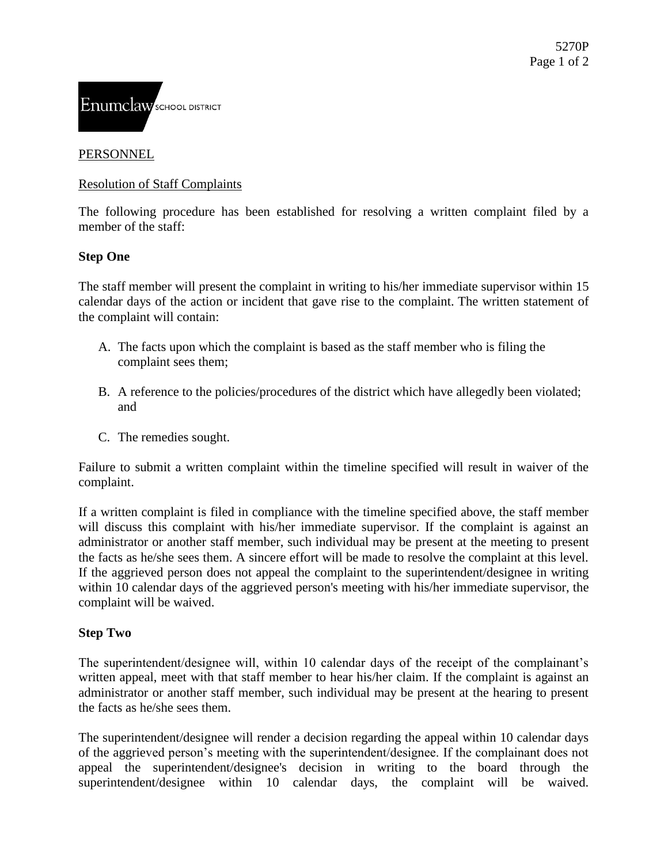

# PERSONNEL

# Resolution of Staff Complaints

The following procedure has been established for resolving a written complaint filed by a member of the staff:

### **Step One**

The staff member will present the complaint in writing to his/her immediate supervisor within 15 calendar days of the action or incident that gave rise to the complaint. The written statement of the complaint will contain:

- A. The facts upon which the complaint is based as the staff member who is filing the complaint sees them;
- B. A reference to the policies/procedures of the district which have allegedly been violated; and
- C. The remedies sought.

Failure to submit a written complaint within the timeline specified will result in waiver of the complaint.

If a written complaint is filed in compliance with the timeline specified above, the staff member will discuss this complaint with his/her immediate supervisor. If the complaint is against an administrator or another staff member, such individual may be present at the meeting to present the facts as he/she sees them. A sincere effort will be made to resolve the complaint at this level. If the aggrieved person does not appeal the complaint to the superintendent/designee in writing within 10 calendar days of the aggrieved person's meeting with his/her immediate supervisor, the complaint will be waived.

#### **Step Two**

The superintendent/designee will, within 10 calendar days of the receipt of the complainant's written appeal, meet with that staff member to hear his/her claim. If the complaint is against an administrator or another staff member, such individual may be present at the hearing to present the facts as he/she sees them.

The superintendent/designee will render a decision regarding the appeal within 10 calendar days of the aggrieved person's meeting with the superintendent/designee. If the complainant does not appeal the superintendent/designee's decision in writing to the board through the superintendent/designee within 10 calendar days, the complaint will be waived.